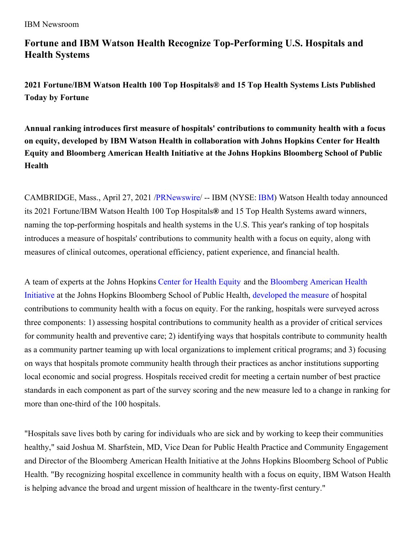#### IBM Newsroom

# **Fortune and IBM Watson Health Recognize Top-Performing U.S. Hospitals and Health Systems**

**2021 Fortune/IBM Watson Health 100 Top Hospitals® and 15 Top Health Systems Lists Published Today by Fortune**

**Annual ranking introduces first measure of hospitals' contributions to community health with a focus on equity, developed by IBM Watson Health in collaboration with Johns Hopkins Center for Health Equity and Bloomberg American Health Initiative at the Johns Hopkins Bloomberg School of Public Health**

CAMBRIDGE, Mass., April 27, 2021 [/PRNewswire](http://www.prnewswire.com/)/ -- IBM (NYSE: [IBM](https://c212.net/c/link/?t=0&l=en&o=3142211-1&h=956166044&u=http%3A%2F%2Fwww.ibm.com%2Finvestor&a=IBM)) Watson Health today announced its 2021 Fortune/IBM Watson Health 100 Top Hospitals**®** and 15 Top Health Systems award winners, naming the top-performing hospitals and health systems in the U.S. This year's ranking of top hospitals introduces a measure of hospitals' contributions to community health with a focus on equity, along with measures of clinical outcomes, operational efficiency, patient experience, and financial health.

A team of experts at the Johns Hopkins [Center](https://c212.net/c/link/?t=0&l=en&o=3142211-1&h=3351883918&u=https%3A%2F%2Fwww.jhsph.edu%2Fresearch%2Fcenters-and-institutes%2Fjohns-hopkins-center-for-health-equity%2F&a=Center+for+Health+Equity) for Health Equity and the [Bloomberg](https://c212.net/c/link/?t=0&l=en&o=3142211-1&h=2299039562&u=https%3A%2F%2Famericanhealth.jhu.edu%2Fabout&a=Bloomberg+American+Health+Initiative) American Health Initiative at the Johns Hopkins Bloomberg School of Public Health, [developed](https://c212.net/c/link/?t=0&l=en&o=3142211-1&h=2074461018&u=https%3A%2F%2Fwww.healthaffairs.org%2Fdo%2F10.1377%2Fhblog20210423.191852%2Ffull%2F&a=developed+the+measure) the measure of hospital contributions to community health with a focus on equity. For the ranking, hospitals were surveyed across three components: 1) assessing hospital contributions to community health as a provider of critical services for community health and preventive care; 2) identifying ways that hospitals contribute to community health as a community partner teaming up with local organizations to implement critical programs; and 3) focusing on ways that hospitals promote community health through their practices as anchor institutions supporting local economic and social progress. Hospitals received credit for meeting a certain number of best practice standards in each component as part of the survey scoring and the new measure led to a change in ranking for more than one-third of the 100 hospitals.

"Hospitals save lives both by caring for individuals who are sick and by working to keep their communities healthy," said Joshua M. Sharfstein, MD, Vice Dean for Public Health Practice and Community Engagement and Director of the Bloomberg American Health Initiative at the Johns Hopkins Bloomberg School of Public Health. "By recognizing hospital excellence in community health with a focus on equity, IBM Watson Health is helping advance the broad and urgent mission of healthcare in the twenty-first century."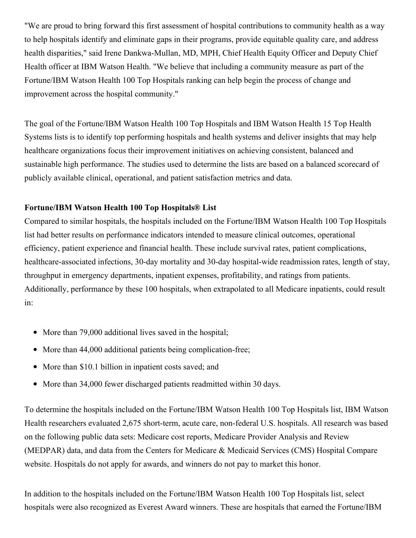"We are proud to bring forward this first assessment of hospital contributions to community health as a way to help hospitals identify and eliminate gaps in their programs, provide equitable quality care, and address health disparities," said Irene Dankwa-Mullan, MD, MPH, Chief Health Equity Officer and Deputy Chief Health officer at IBM Watson Health. "We believe that including a community measure as part of the Fortune/IBM Watson Health 100 Top Hospitals ranking can help begin the process of change and improvement across the hospital community."

The goal of the Fortune/IBM Watson Health 100 Top Hospitals and IBM Watson Health 15 Top Health Systems lists is to identify top performing hospitals and health systems and deliver insights that may help healthcare organizations focus their improvement initiatives on achieving consistent, balanced and sustainable high performance. The studies used to determine the lists are based on a balanced scorecard of publicly available clinical, operational, and patient satisfaction metrics and data.

### **Fortune/IBM Watson Health 100 Top Hospitals® List**

Compared to similar hospitals, the hospitals included on the Fortune/IBM Watson Health 100 Top Hospitals list had better results on performance indicators intended to measure clinical outcomes, operational efficiency, patient experience and financial health. These include survival rates, patient complications, healthcare-associated infections, 30-day mortality and 30-day hospital-wide readmission rates, length of stay, throughput in emergency departments, inpatient expenses, profitability, and ratings from patients. Additionally, performance by these 100 hospitals, when extrapolated to all Medicare inpatients, could result in:

- More than 79,000 additional lives saved in the hospital;
- More than 44,000 additional patients being complication-free;
- More than \$10.1 billion in inpatient costs saved; and
- More than 34,000 fewer discharged patients readmitted within 30 days.

To determine the hospitals included on the Fortune/IBM Watson Health 100 Top Hospitals list, IBM Watson Health researchers evaluated 2,675 short-term, acute care, non-federal U.S. hospitals. All research was based on the following public data sets: Medicare cost reports, Medicare Provider Analysis and Review (MEDPAR) data, and data from the Centers for Medicare & Medicaid Services (CMS) Hospital Compare website. Hospitals do not apply for awards, and winners do not pay to market this honor.

In addition to the hospitals included on the Fortune/IBM Watson Health 100 Top Hospitals list, select hospitals were also recognized as Everest Award winners. These are hospitals that earned the Fortune/IBM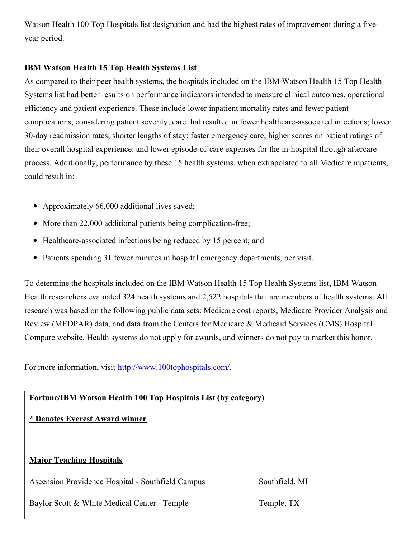Watson Health 100 Top Hospitals list designation and had the highest rates of improvement during a fiveyear period.

### **IBM Watson Health 15 Top Health Systems List**

As compared to their peer health systems, the hospitals included on the IBM Watson Health 15 Top Health Systems list had better results on performance indicators intended to measure clinical outcomes, operational efficiency and patient experience. These include lower inpatient mortality rates and fewer patient complications, considering patient severity; care that resulted in fewer healthcare-associated infections; lower 30-day readmission rates; shorter lengths of stay; faster emergency care; higher scores on patient ratings of their overall hospital experience: and lower episode-of-care expenses for the in-hospital through aftercare process. Additionally, performance by these 15 health systems, when extrapolated to all Medicare inpatients, could result in:

- Approximately 66,000 additional lives saved;
- More than 22,000 additional patients being complication-free;
- Healthcare-associated infections being reduced by 15 percent; and
- Patients spending 31 fewer minutes in hospital emergency departments, per visit.

To determine the hospitals included on the IBM Watson Health 15 Top Health Systems list, IBM Watson Health researchers evaluated 324 health systems and 2,522 hospitals that are members of health systems. All research was based on the following public data sets: Medicare cost reports, Medicare Provider Analysis and Review (MEDPAR) data, and data from the Centers for Medicare & Medicaid Services (CMS) Hospital Compare website. Health systems do not apply for awards, and winners do not pay to market this honor.

For more information, visit [http://www.100tophospitals.com/](https://c212.net/c/link/?t=0&l=en&o=3142211-1&h=674704193&u=http%3A%2F%2Fwww.100tophospitals.com%2F&a=http%3A%2F%2Fwww.100tophospitals.com%2F).

# **Fortune/IBM Watson Health 100 Top Hospitals List (by category)**

# **\* Denotes Everest Award winner**

### **Major Teaching Hospitals**

Ascension Providence Hospital - Southfield Campus Southfield, MI

Baylor Scott & White Medical Center - Temple Temple, TX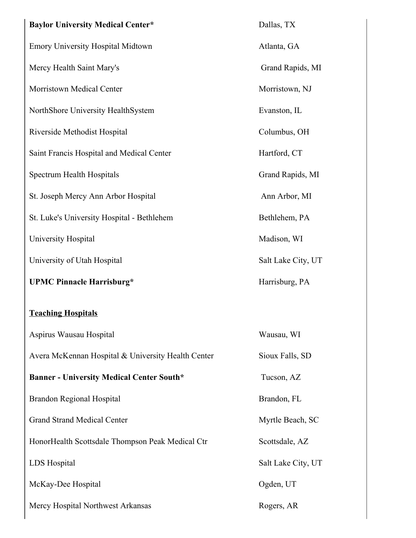| <b>Baylor University Medical Center*</b>           | Dallas, TX         |
|----------------------------------------------------|--------------------|
| <b>Emory University Hospital Midtown</b>           | Atlanta, GA        |
| Mercy Health Saint Mary's                          | Grand Rapi         |
| Morristown Medical Center                          | Morristown,        |
| NorthShore University HealthSystem                 | Evanston, IL       |
| Riverside Methodist Hospital                       | Columbus, O        |
| Saint Francis Hospital and Medical Center          | Hartford, CT       |
| Spectrum Health Hospitals                          | <b>Grand Rapic</b> |
| St. Joseph Mercy Ann Arbor Hospital                | Ann Arbor,         |
| St. Luke's University Hospital - Bethlehem         | Bethlehem, 1       |
| University Hospital                                | Madison, W         |
| University of Utah Hospital                        | Salt Lake Ci       |
| <b>UPMC Pinnacle Harrisburg*</b>                   | Harrisburg, 1      |
| <b>Teaching Hospitals</b>                          |                    |
| Aspirus Wausau Hospital                            | Wausau, WI         |
| Avera McKennan Hospital & University Health Center | Sioux Falls,       |
| <b>Banner - University Medical Center South*</b>   | Tucson, AZ         |
| <b>Brandon Regional Hospital</b>                   | Brandon, FL        |
| <b>Grand Strand Medical Center</b>                 | Myrtle Beac        |
| HonorHealth Scottsdale Thompson Peak Medical Ctr   | Scottsdale, A      |
| LDS Hospital                                       | Salt Lake Ci       |
| McKay-Dee Hospital                                 | Ogden, UT          |
| Mercy Hospital Northwest Arkansas                  | Rogers, AR         |

Grand Rapids, MI **Morristown, NJ** vanston, IL 'olumbus, OH lartford, CT Frand Rapids, MI Ann Arbor, MI ethlehem, PA Iadison, WI alt Lake City, UT  $I$  **PA** 

Vausau, WI ioux Falls, SD  $\Gamma$ **ucson, AZ** 

Iyrtle Beach, SC

cottsdale, AZ

alt Lake City, UT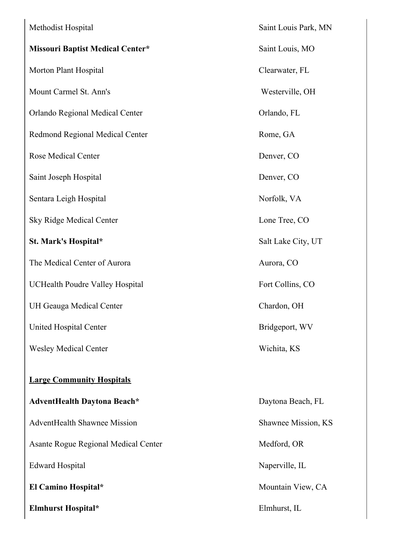| Methodist Hospital                      | Saint Louis P  |
|-----------------------------------------|----------------|
| <b>Missouri Baptist Medical Center*</b> | Saint Louis, l |
| Morton Plant Hospital                   | Clearwater, F  |
| Mount Carmel St. Ann's                  | Westerville,   |
| Orlando Regional Medical Center         | Orlando, FL    |
| Redmond Regional Medical Center         | Rome, GA       |
| <b>Rose Medical Center</b>              | Denver, CO     |
| Saint Joseph Hospital                   | Denver, CO     |
| Sentara Leigh Hospital                  | Norfolk, VA    |
| <b>Sky Ridge Medical Center</b>         | Lone Tree, C   |
| St. Mark's Hospital*                    | Salt Lake Cit  |
| The Medical Center of Aurora            | Aurora, CO     |
| <b>UCHealth Poudre Valley Hospital</b>  | Fort Collins,  |
| UH Geauga Medical Center                | Chardon, OH    |
| <b>United Hospital Center</b>           | Bridgeport, V  |
| <b>Wesley Medical Center</b>            | Wichita, KS    |
| <b>Large Community Hospitals</b>        |                |
|                                         |                |
| <b>AdventHealth Daytona Beach*</b>      | Daytona Bea    |
| <b>AdventHealth Shawnee Mission</b>     | Shawnee Mis    |
| Asante Rogue Regional Medical Center    | Medford, OR    |
| <b>Edward Hospital</b>                  | Naperville, II |
| El Camino Hospital*                     | Mountain Vie   |
| <b>Elmhurst Hospital*</b>               | Elmhurst, IL   |
|                                         |                |

Saint Louis Park, MN  $Saint Louis, MO$ Clearwater, FL Westerville, OH Orlando, FL Rome, GA Denver, CO Denver, CO Norfolk, VA Lone Tree, CO **Salt Lake City, UT** Aurora, CO Fort Collins, CO Chardon, OH Bridgeport, WV Wichita, KS **AdventHealth Daytona Beach\*** Daytona Beach, FL Shawnee Mission, KS Medford, OR Naperville, IL **Mountain View, CA**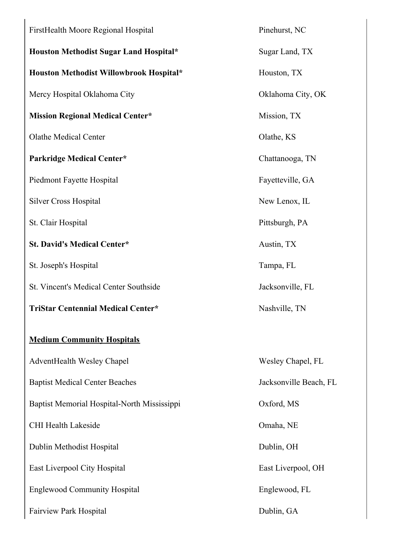| FirstHealth Moore Regional Hospital           | Pinehurst, NC          |
|-----------------------------------------------|------------------------|
| Houston Methodist Sugar Land Hospital*        | Sugar Land, TX         |
| Houston Methodist Willowbrook Hospital*       | Houston, TX            |
| Mercy Hospital Oklahoma City                  | Oklahoma City, OK      |
| <b>Mission Regional Medical Center*</b>       | Mission, TX            |
| <b>Olathe Medical Center</b>                  | Olathe, KS             |
| <b>Parkridge Medical Center*</b>              | Chattanooga, TN        |
| Piedmont Fayette Hospital                     | Fayetteville, GA       |
| <b>Silver Cross Hospital</b>                  | New Lenox, IL          |
| St. Clair Hospital                            | Pittsburgh, PA         |
| <b>St. David's Medical Center*</b>            | Austin, TX             |
| St. Joseph's Hospital                         | Tampa, FL              |
| <b>St. Vincent's Medical Center Southside</b> | Jacksonville, FL       |
| <b>TriStar Centennial Medical Center*</b>     | Nashville, TN          |
| <b>Medium Community Hospitals</b>             |                        |
| AdventHealth Wesley Chapel                    | Wesley Chapel, FL      |
| <b>Baptist Medical Center Beaches</b>         | Jacksonville Beach, FL |
| Baptist Memorial Hospital-North Mississippi   | Oxford, MS             |
| <b>CHI Health Lakeside</b>                    | Omaha, NE              |
| Dublin Methodist Hospital                     | Dublin, OH             |
| East Liverpool City Hospital                  | East Liverpool, OH     |
| <b>Englewood Community Hospital</b>           | Englewood, FL          |
| <b>Fairview Park Hospital</b>                 | Dublin, GA             |
|                                               |                        |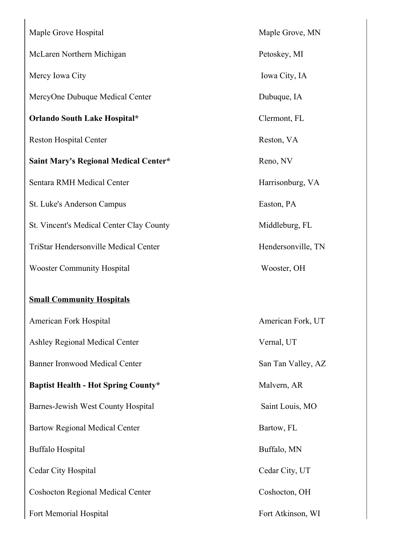| Maple Grove Hospital                         |
|----------------------------------------------|
| McLaren Northern Michigan                    |
| Mercy Iowa City                              |
| MercyOne Dubuque Medical Center              |
| Orlando South Lake Hospital*                 |
| <b>Reston Hospital Center</b>                |
| <b>Saint Mary's Regional Medical Center*</b> |
| Sentara RMH Medical Center                   |
| St. Luke's Anderson Campus                   |
| St. Vincent's Medical Center Clay County     |
| <b>TriStar Hendersonville Medical Center</b> |
| <b>Wooster Community Hospital</b>            |
|                                              |
| <b>Small Community Hospitals</b>             |
| American Fork Hospital                       |
| <b>Ashley Regional Medical Center</b>        |
| <b>Banner Ironwood Medical Center</b>        |
| <b>Baptist Health - Hot Spring County*</b>   |
| Barnes-Jewish West County Hospital           |
| <b>Bartow Regional Medical Center</b>        |
| <b>Buffalo Hospital</b>                      |
| Cedar City Hospital                          |
| <b>Coshocton Regional Medical Center</b>     |
| Fort Memorial Hospital                       |

Maple Grove, MN

Petoskey, MI

Iowa City, IA

Dubuque, IA

**Orlando South Lake Hospital\*** Clermont, FL

Reston, VA

**Saint Mary's Regional Medical Center\*** Reno, NV

Harrisonburg, VA

Easton, PA

Middleburg, FL

Hendersonville, TN

Wooster, OH

American Fork, UT

Vernal, UT

San Tan Valley, AZ

 $Malvern, AR$ 

Saint Louis, MO

Bartow, FL

Buffalo, MN

Cedar City, UT

Coshocton, OH

Fort Atkinson, WI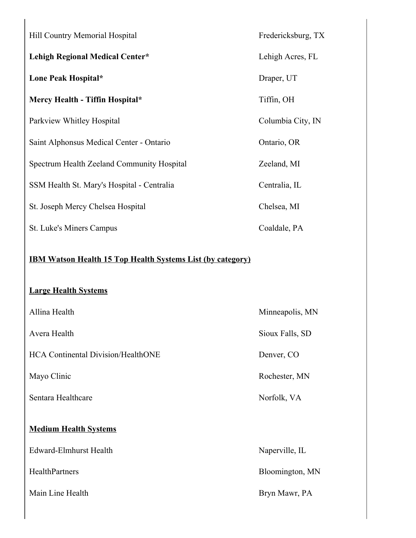| Hill Country Memorial Hospital                                                                   | Fredericksburg, TX |  |
|--------------------------------------------------------------------------------------------------|--------------------|--|
| <b>Lehigh Regional Medical Center*</b>                                                           | Lehigh Acres, FL   |  |
| Lone Peak Hospital*                                                                              | Draper, UT         |  |
| Mercy Health - Tiffin Hospital*                                                                  | Tiffin, OH         |  |
| Parkview Whitley Hospital                                                                        | Columbia City, IN  |  |
| Saint Alphonsus Medical Center - Ontario                                                         | Ontario, OR        |  |
| Spectrum Health Zeeland Community Hospital                                                       | Zeeland, MI        |  |
| SSM Health St. Mary's Hospital - Centralia                                                       | Centralia, IL      |  |
| St. Joseph Mercy Chelsea Hospital                                                                | Chelsea, MI        |  |
| St. Luke's Miners Campus                                                                         | Coaldale, PA       |  |
| <b>IBM Watson Health 15 Top Health Systems List (by category)</b><br><b>Large Health Systems</b> |                    |  |
| Allina Health                                                                                    | Minneapolis, MN    |  |
| Avera Health                                                                                     | Sioux Falls, SD    |  |
| <b>HCA Continental Division/HealthONE</b>                                                        | Denver, CO         |  |
| Mayo Clinic                                                                                      | Rochester, MN      |  |
| Sentara Healthcare                                                                               | Norfolk, VA        |  |
| <b>Medium Health Systems</b>                                                                     |                    |  |
| <b>Edward-Elmhurst Health</b>                                                                    | Naperville, IL     |  |
| HealthPartners                                                                                   | Bloomington, MN    |  |
| Main Line Health                                                                                 | Bryn Mawr, PA      |  |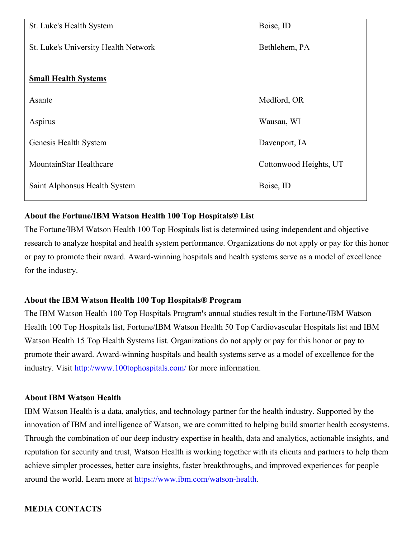| St. Luke's Health System             | Boise, ID              |
|--------------------------------------|------------------------|
| St. Luke's University Health Network | Bethlehem, PA          |
|                                      |                        |
| <b>Small Health Systems</b>          |                        |
| Asante                               | Medford, OR            |
| Aspirus                              | Wausau, WI             |
| Genesis Health System                | Davenport, IA          |
| MountainStar Healthcare              | Cottonwood Heights, UT |
| Saint Alphonsus Health System        | Boise, ID              |
|                                      |                        |

### **About the Fortune/IBM Watson Health 100 Top Hospitals® List**

The Fortune/IBM Watson Health 100 Top Hospitals list is determined using independent and objective research to analyze hospital and health system performance. Organizations do not apply or pay for this honor or pay to promote their award. Award-winning hospitals and health systems serve as a model of excellence for the industry.

### **About the IBM Watson Health 100 Top Hospitals® Program**

The IBM Watson Health 100 Top Hospitals Program's annual studies result in the Fortune/IBM Watson Health 100 Top Hospitals list, Fortune/IBM Watson Health 50 Top Cardiovascular Hospitals list and IBM Watson Health 15 Top Health Systems list. Organizations do not apply or pay for this honor or pay to promote their award. Award-winning hospitals and health systems serve as a model of excellence for the industry. Visit [http://www.100tophospitals.com/](https://c212.net/c/link/?t=0&l=en&o=3142211-1&h=674704193&u=http%3A%2F%2Fwww.100tophospitals.com%2F&a=http%3A%2F%2Fwww.100tophospitals.com%2F) for more information.

#### **About IBM Watson Health**

IBM Watson Health is a data, analytics, and technology partner for the health industry. Supported by the innovation of IBM and intelligence of Watson, we are committed to helping build smarter health ecosystems. Through the combination of our deep industry expertise in health, data and analytics, actionable insights, and reputation for security and trust, Watson Health is working together with its clients and partners to help them achieve simpler processes, better care insights, faster breakthroughs, and improved experiences for people around the world. Learn more at [https://www.ibm.com/watson-health](https://c212.net/c/link/?t=0&l=en&o=3142211-1&h=1691588192&u=https%3A%2F%2Fwww.ibm.com%2Fwatson-health&a=https%3A%2F%2Fwww.ibm.com%2Fwatson-health).